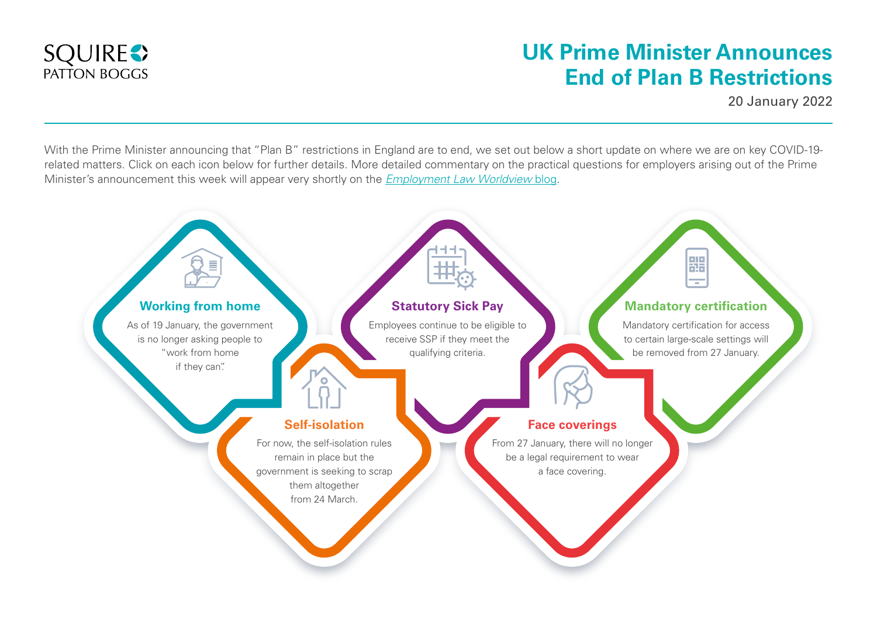

# **UK Prime Minister Announces End of Plan B Restrictions**

20 January 2022

With the Prime Minister announcing that "Plan B" restrictions in England are to end, we set out below a short update on where we are on key COVID-19 related matters. Click on each icon below for further details. More detailed commentary on the practical questions for employers arising out of the Prime Minister's announcement this week will appear very shortly on the *[Employment Law Worldview](http://www.employmentlawworldview.com/)* blog.

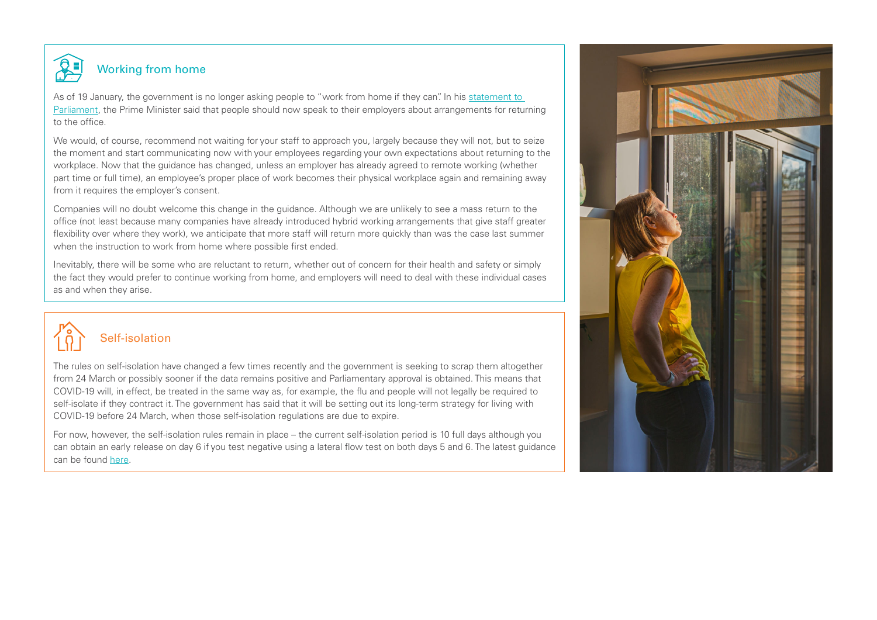<span id="page-1-0"></span>

#### Working from home

As of 19 January, the government is no longer asking people to "work from home if they can". In his [statement to](https://www.gov.uk/government/speeches/pm-statement-to-the-house-of-commons-on-covid-19-19-january-2022?utm_medium=email&utm_campaign=govuk-notifications-topic&utm_source=601dfed1-62a5-4e2c-901b-82be0bdee595&utm_content=daily)  [Parliament](https://www.gov.uk/government/speeches/pm-statement-to-the-house-of-commons-on-covid-19-19-january-2022?utm_medium=email&utm_campaign=govuk-notifications-topic&utm_source=601dfed1-62a5-4e2c-901b-82be0bdee595&utm_content=daily), the Prime Minister said that people should now speak to their employers about arrangements for returning to the office.

We would, of course, recommend not waiting for your staff to approach you, largely because they will not, but to seize the moment and start communicating now with your employees regarding your own expectations about returning to the workplace. Now that the guidance has changed, unless an employer has already agreed to remote working (whether part time or full time), an employee's proper place of work becomes their physical workplace again and remaining away from it requires the employer's consent.

Companies will no doubt welcome this change in the guidance. Although we are unlikely to see a mass return to the office (not least because many companies have already introduced hybrid working arrangements that give staff greater flexibility over where they work), we anticipate that more staff will return more quickly than was the case last summer when the instruction to work from home where possible first ended.

Inevitably, there will be some who are reluctant to return, whether out of concern for their health and safety or simply the fact they would prefer to continue working from home, and employers will need to deal with these individual cases as and when they arise.



### Self-isolation

The rules on self-isolation have changed a few times recently and the government is seeking to scrap them altogether from 24 March or possibly sooner if the data remains positive and Parliamentary approval is obtained. This means that COVID-19 will, in effect, be treated in the same way as, for example, the flu and people will not legally be required to self-isolate if they contract it. The government has said that it will be setting out its long-term strategy for living with COVID-19 before 24 March, when those self-isolation regulations are due to expire.

For now, however, the self-isolation rules remain in place – the current self-isolation period is 10 full days although you can obtain an early release on day 6 if you test negative using a lateral flow test on both days 5 and 6. The latest guidance can be found [here.](https://www.nhs.uk/conditions/coronavirus-covid-19/self-isolation-and-treatment/when-to-self-isolate-and-what-to-do/)